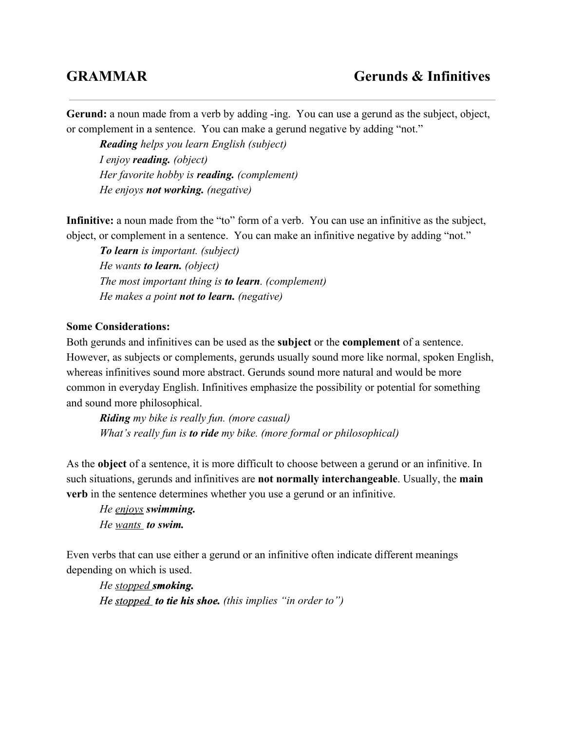**Gerund:** a noun made from a verb by adding -ing. You can use a gerund as the subject, object, or complement in a sentence. You can make a gerund negative by adding "not."

*Readinghelps you learn English (subject) I enjoy reading.(object) Her favorite hobby is reading.(complement) He enjoys not working.(negative)*

**Infinitive:** a noun made from the "to" form of a verb. You can use an infinitive as the subject, object, or complement in a sentence. You can make an infinitive negative by adding "not."

*To learnis important. (subject) He wants to learn.(object) The most important thing is to learn. (complement) He makes a point not to learn.(negative)*

## **Some Considerations:**

Both gerunds and infinitives can be used as the **subject** or the **complement**of a sentence. However, as subjects or complements, gerunds usually sound more like normal, spoken English, whereas infinitives sound more abstract. Gerunds sound more natural and would be more common in everyday English. Infinitives emphasize the possibility or potential for something and sound more philosophical.

*Riding my bike is really fun. (more casual) What's really fun is to ridemy bike. (more formal or philosophical)*

As the **object** of a sentence, it is more difficult to choose between a gerund or an infinitive. In such situations, gerunds and infinitives are **not normally interchangeable**. Usually, the **main verb** in the sentence determines whether you use a gerund or an infinitive.

*He enjoys swimming. He wants to swim.*

Even verbs that can use either a gerund or an infinitive often indicate different meanings depending on which is used.

*He stopped smoking. He stopped to tie his shoe. (this implies "in order to")*